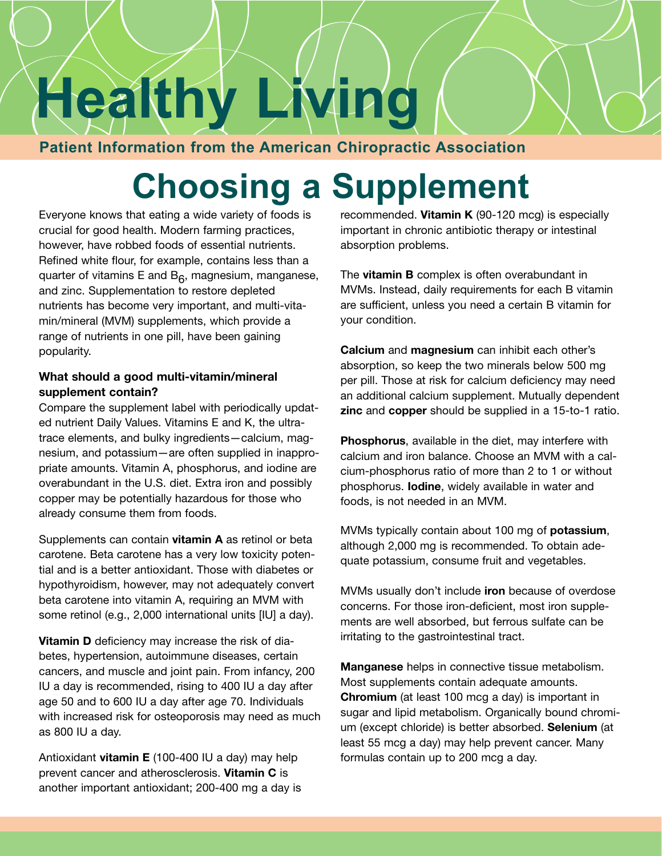# **Healthy Living**

# **Patient Information from the American Chiropractic Association**

# **Choosing a Supplement**

Everyone knows that eating a wide variety of foods is crucial for good health. Modern farming practices, however, have robbed foods of essential nutrients. Refined white flour, for example, contains less than a quarter of vitamins E and  $B_6$ , magnesium, manganese, and zinc. Supplementation to restore depleted nutrients has become very important, and multi-vitamin/mineral (MVM) supplements, which provide a range of nutrients in one pill, have been gaining popularity.

### **What should a good multi-vitamin/mineral supplement contain?**

Compare the supplement label with periodically updated nutrient Daily Values. Vitamins E and K, the ultratrace elements, and bulky ingredients—calcium, magnesium, and potassium—are often supplied in inappropriate amounts. Vitamin A, phosphorus, and iodine are overabundant in the U.S. diet. Extra iron and possibly copper may be potentially hazardous for those who already consume them from foods.

Supplements can contain **vitamin A** as retinol or beta carotene. Beta carotene has a very low toxicity potential and is a better antioxidant. Those with diabetes or hypothyroidism, however, may not adequately convert beta carotene into vitamin A, requiring an MVM with some retinol (e.g., 2,000 international units [IU] a day).

**Vitamin D** deficiency may increase the risk of diabetes, hypertension, autoimmune diseases, certain cancers, and muscle and joint pain. From infancy, 200 IU a day is recommended, rising to 400 IU a day after age 50 and to 600 IU a day after age 70. Individuals with increased risk for osteoporosis may need as much as 800 IU a day.

Antioxidant **vitamin E** (100-400 IU a day) may help prevent cancer and atherosclerosis. **Vitamin C** is another important antioxidant; 200-400 mg a day is recommended. **Vitamin K** (90-120 mcg) is especially important in chronic antibiotic therapy or intestinal absorption problems.

The **vitamin B** complex is often overabundant in MVMs. Instead, daily requirements for each B vitamin are sufficient, unless you need a certain B vitamin for your condition.

**Calcium** and **magnesium** can inhibit each other's absorption, so keep the two minerals below 500 mg per pill. Those at risk for calcium deficiency may need an additional calcium supplement. Mutually dependent **zinc** and **copper** should be supplied in a 15-to-1 ratio.

**Phosphorus**, available in the diet, may interfere with calcium and iron balance. Choose an MVM with a calcium-phosphorus ratio of more than 2 to 1 or without phosphorus. **Iodine**, widely available in water and foods, is not needed in an MVM.

MVMs typically contain about 100 mg of **potassium**, although 2,000 mg is recommended. To obtain adequate potassium, consume fruit and vegetables.

MVMs usually don't include **iron** because of overdose concerns. For those iron-deficient, most iron supplements are well absorbed, but ferrous sulfate can be irritating to the gastrointestinal tract.

**Manganese** helps in connective tissue metabolism. Most supplements contain adequate amounts. **Chromium** (at least 100 mcg a day) is important in sugar and lipid metabolism. Organically bound chromium (except chloride) is better absorbed. **Selenium** (at least 55 mcg a day) may help prevent cancer. Many formulas contain up to 200 mcg a day.